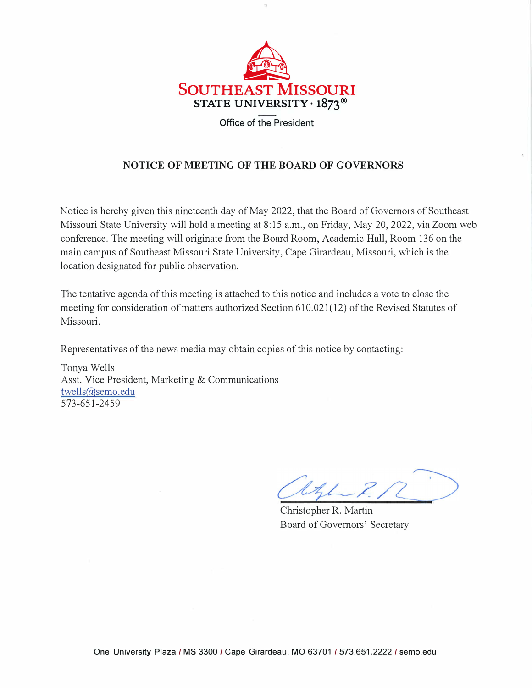

## **NOTICE OF MEETING OF THE BOARD OF GOVERNORS**

Notice is hereby given this nineteenth day of May 2022, that the Board of Governors of Southeast Missouri State University will hold a meeting at 8:15 a.m., on Friday, May 20, 2022, via Zoom web conference. The meeting will originate from the Board Room, Academic Hall, Room 136 on the main campus of Southeast Missouri State University, Cape Girardeau, Missouri, which is the location designated for public observation.

The tentative agenda of this meeting is attached to this notice and includes a vote to close the meeting for consideration of matters authorized Section 610.021(12) of the Revised Statutes of Missouri.

Representatives of the news media may obtain copies of this notice by contacting:

Tonya Wells Asst. Vice President, Marketing & Communications [twells@semo.edu](mailto:twells@semo.edu)  573-651-2459

Christopher R. Martin Board of Governors' Secretary